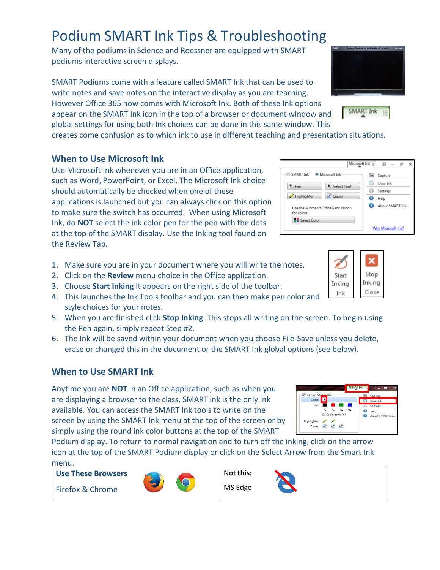# Podium SMART Ink Tips & Troubleshooting

Many of the podiums in Science and Roessner are equipped with SMART podiums interactive screen displays.

SMART Podiums come with a feature called SMART Ink that can be used to write notes and save notes on the interactive display as you are teaching. However Office 365 now comes with Microsoft Ink. Both of these Ink options appear on the SMART Ink icon in the top of a browser or document window and global settings for using both Ink choices can be done in this same window. This

creates come confusion as to which ink to use in different teaching and presentation situations.

## **When to Use Microsoft Ink**

Use Microsoft Ink whenever you are in an Office application, such as Word, PowerPoint, or Excel. The Microsoft Ink choice should automatically be checked when one of these applications is launched but you can always click on this option to make sure the switch has occurred. When using Microsoft Ink, do **NOT** select the ink color pen for the pen with the dots at the top of the SMART display. Use the Inking tool found on the Review Tab.

- 1. Make sure you are in your document where you will write the notes.
- 2. Click on the **Review** menu choice in the Office application.
- 3. Choose **Start Inking** It appears on the right side of the toolbar.
- 4. This launches the Ink Tools toolbar and you can then make pen color and style choices for your notes.
- 5. When you are finished click **Stop Inking**. This stops all writing on the screen. To begin using the Pen again, simply repeat Step #2.
- 6. The Ink will be saved within your document when you choose File-Save unless you delete, erase or changed this in the document or the SMART Ink global options (see below).

## **When to Use SMART Ink**

Anytime you are **NOT** in an Office application, such as when you are displaying a browser to the class, SMART ink is the only ink available. You can access the SMART Ink tools to write on the screen by using the SMART Ink menu at the top of the screen or by simply using the round ink color buttons at the top of the SMART

Podium display. To return to normal navigation and to turn off the inking, click on the arrow icon at the top of the SMART Podium display or click on the Select Arrow from the Smart Ink menu.



**Use These Browsers**





**O** Microsoft Ink

Use the Microsoft Office Pens ribbor

R Select Tool

**Passer** 

SMART Ink

Highlighter

Select Color

e Pen







Microsoft Ink

 $\boxed{5}$  =  $\bar{\sigma}$ 

Why Microsoft Ink?

la Capture ьð. Clear Ink

谷 Settings

 $\bullet$ Help About SMART Ink...

N**ot this:**